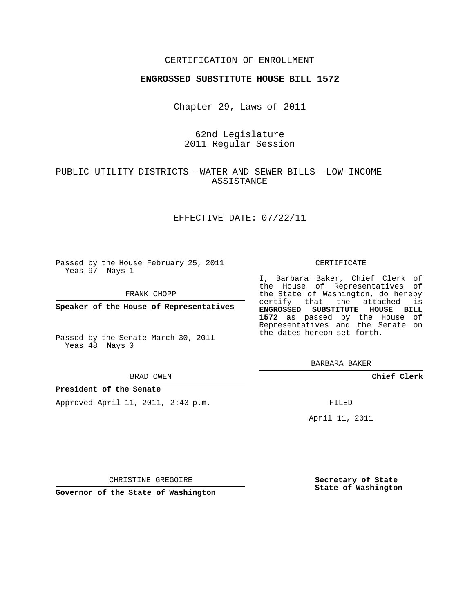## CERTIFICATION OF ENROLLMENT

### **ENGROSSED SUBSTITUTE HOUSE BILL 1572**

Chapter 29, Laws of 2011

# 62nd Legislature 2011 Regular Session

# PUBLIC UTILITY DISTRICTS--WATER AND SEWER BILLS--LOW-INCOME ASSISTANCE

### EFFECTIVE DATE: 07/22/11

Passed by the House February 25, 2011 Yeas 97 Nays 1

FRANK CHOPP

**Speaker of the House of Representatives**

Passed by the Senate March 30, 2011 Yeas 48 Nays 0

#### BRAD OWEN

### **President of the Senate**

Approved April 11, 2011, 2:43 p.m.

#### CERTIFICATE

I, Barbara Baker, Chief Clerk of the House of Representatives of the State of Washington, do hereby certify that the attached is **ENGROSSED SUBSTITUTE HOUSE BILL 1572** as passed by the House of Representatives and the Senate on the dates hereon set forth.

BARBARA BAKER

**Chief Clerk**

FILED

April 11, 2011

CHRISTINE GREGOIRE

**Governor of the State of Washington**

**Secretary of State State of Washington**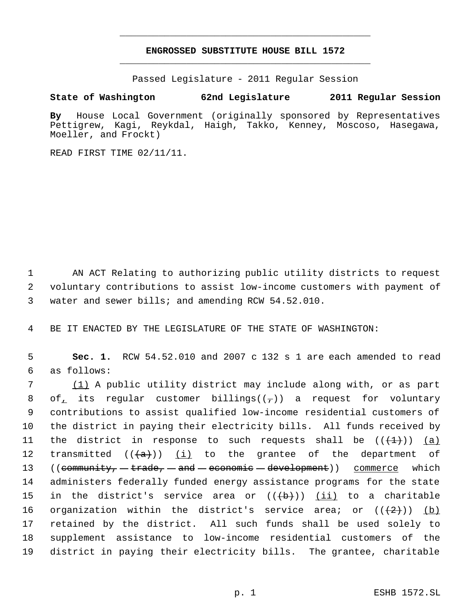# **ENGROSSED SUBSTITUTE HOUSE BILL 1572** \_\_\_\_\_\_\_\_\_\_\_\_\_\_\_\_\_\_\_\_\_\_\_\_\_\_\_\_\_\_\_\_\_\_\_\_\_\_\_\_\_\_\_\_\_

\_\_\_\_\_\_\_\_\_\_\_\_\_\_\_\_\_\_\_\_\_\_\_\_\_\_\_\_\_\_\_\_\_\_\_\_\_\_\_\_\_\_\_\_\_

Passed Legislature - 2011 Regular Session

## **State of Washington 62nd Legislature 2011 Regular Session**

**By** House Local Government (originally sponsored by Representatives Pettigrew, Kagi, Reykdal, Haigh, Takko, Kenney, Moscoso, Hasegawa, Moeller, and Frockt)

READ FIRST TIME 02/11/11.

 1 AN ACT Relating to authorizing public utility districts to request 2 voluntary contributions to assist low-income customers with payment of 3 water and sewer bills; and amending RCW 54.52.010.

4 BE IT ENACTED BY THE LEGISLATURE OF THE STATE OF WASHINGTON:

 5 **Sec. 1.** RCW 54.52.010 and 2007 c 132 s 1 are each amended to read 6 as follows:

 7 (1) A public utility district may include along with, or as part 8 of its regular customer billings( $(\tau)$ ) a request for voluntary 9 contributions to assist qualified low-income residential customers of 10 the district in paying their electricity bills. All funds received by 11 the district in response to such requests shall be  $((+1))$  (a) 12 transmitted  $((+a))$   $(i)$  to the grantee of the department of 13 ((community, -trade, - and - economic - development)) commerce which 14 administers federally funded energy assistance programs for the state 15 in the district's service area or  $((+b))$  <u>(ii)</u> to a charitable 16 organization within the district's service area; or  $((+2+))$  (b) 17 retained by the district. All such funds shall be used solely to 18 supplement assistance to low-income residential customers of the 19 district in paying their electricity bills. The grantee, charitable